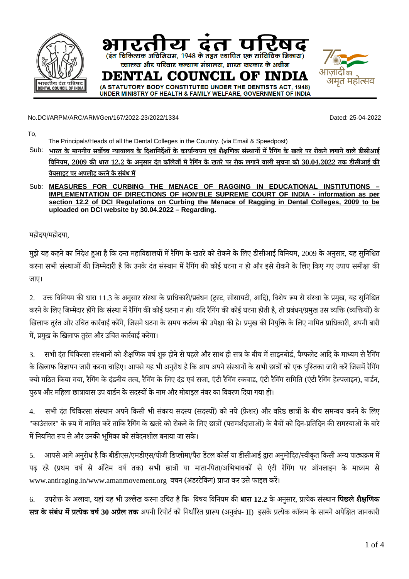

No.DCI/ARPM/ARC/ARM/Gen/167/2022-23/2022/1334 Dated: 25-04-2022

To,

The Principals/Heads of all the Dental Colleges in the Country. (via Email & Speedpost)

Sub: भारत के माननीय सर्वोच्च न्यायालय के दिशानिर्देशों के कार्यान्वयन एवं शैक्षणिक संस्थानों में रैगिंग के खतरे पर रोकने लगाने वाले डीसीआई <u>विनियम, 2009 की धारा 12.2 के अनुसार दंत कॉले</u>जों मे रैगिंग के खतरे पर रोक लगाने वाली सचना को 30.04.2022 तक डीसीआई की **वेबसाइट पर अपलोड़ करने के संबंध में**

## Sub: **MEASURES FOR CURBING THE MENACE OF RAGGING IN EDUCATIONAL INSTITUTIONS – IMPLEMENTATION OF DIRECTIONS OF HON'BLE SUPREME COURT OF INDIA - information as per section 12.2 of DCI Regulations on Curbing the Menace of Ragging in Dental Colleges, 2009 to be uploaded on DCI website by 30.04.2022 – Regarding.**

महोदय/महोदया,

मुझे यह कहने का निदेश हुआ है कि दन्त महाविद्यालयों में रैगिंग के खतरे को रोकने के लिए डीसीआई विनियम, 2009 के अनुसार, यह सुनिश्चित करना सभी संस्थाओं की जिम्मेदारी है कि उनके दंत संस्थान में रैगिंग की कोई घटना न हो और इसे रोकने के लिए किए गए उपाय समीक्षा की जाए।

2. उक्त विनियम की धारा 11.3 के अनुसार संस्था के प्राधिकारी/प्रबंधन (ट्रस्ट, सोसायटी, आदि), विशेष रूप से संस्था के प्रमुख, यह सुनिश्चित करनेकेलिए जिम्मेदार होंगेकि संस्था मेंरैगिंग की कोई घटना न हो। यदि रैगिंग की कोई घटना होती है, तो प्रबंधन/प्रमुख उस व्यक्ति (व्यक्तियों) के खिलाफ तुरंत और उचित कार्रवाई करेंगे, जिसने घटना के समय कर्तव्य की उपेक्षा की है। प्रमुख की नियुक्ति के लिए नामित प्राधिकारी, अपनी बारी में, प्रमुख केखिलाफ तुरंत और उचित कार्रवाई करेगा।

3. सभी दंत चिकित्सा संस्थानों को शैक्षणिक वर्ष शुरू होने से पहले और साथ ही सत्र के बीच में साइनबोर्ड, पैम्फलेट आदि के माध्यम से रैगिंग के खिलाफ विज्ञापन जारी करना चाहिए। आपसे यह भी अनुरोध है कि आप अपने संस्थानों के सभी छात्रों को एक पुस्तिका जारी करें जिसमें रैगिंग क्यो गठित किया गया, रैगिंग के दंडनीय तत्व, रैगिंग के लिए दंड एवं सजा, एंटी रैगिंग स्कवाड, एंटी रैगिंग समिति (एंटी रैगिंग हेल्पलाइन), वार्डन, पुरुष और महिला छात्रावास उप वार्डन के सदस्यों के नाम और मोबाइल नंबर का विवरण दिया गया हो।

4. सभी दंत चिकित्सा संस्थान अपनेकिसी भी संकाय सदस्य (सदस्यों) को नये(फ्रेशर) और वरिष्ठ छात्रों के बीच समन्वय करनेके लिए "काउंसलर" के रूप में नामित करें ताकि रैगिंग के खतरे को रोकने के लिए छात्रों (परामर्शदाताओं) के बैचों को दिन-प्रतिदिन की समस्याओं के बारे मेंनियमित रूप से और उनकी भूमिका को संवेदनशील बनाया जा सके।

5. आपसेआगेअनुरोध हैकि बीडीएस/एमडीएस/पीजी डिप्लोमा/पैरा डेंटल कोर्सया डीसीआई द्वारा अनुमोदित/स्वीकृत किसी अन्य पाठ्यक्रम में पढ़ रहे (प्रथम वर्ष से अंतिम वर्ष तक) सभी छात्रों या माता-पिता/अभिभावकों से एंटी रैगिंग पर ऑनलाइन के माध्यम से www.antiraging.in/www.amanmovement.org वचन (अंडरटेकिंग) प्राप्त कर उसे फाइल करें।

6. उपरोक्त केअलावा, यहां यह भी उल्लेख करना उचित हैकि विषय विनियम की **धारा 12.2** केअनुसार, प्रत्येक संस्थान **पिछलेशैक्षणिक सत्र के संबंध मेंप्रत्येक वर्ष30 अप्रैल तक** अपनी रिपोर्ट को निर्धारित प्रारूप (अनुबंध- II) इसके प्रत्येक कॉलम के सामनेअपेक्षित जानकारी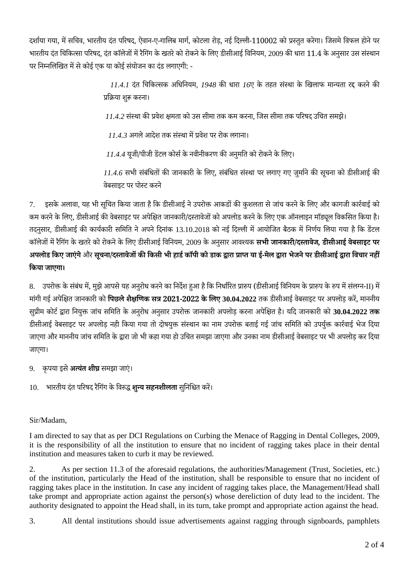दर्शाया गया, में सचिव, भारतीय दंत परिषद, ऐवान-ए-गालिब मार्ग, कोटला रोड़, नई दिल्ली-110002 को प्रस्तुत करेगा। जिसमे विफल होने पर भारतीय दंत चिकित्सा परिषद, दंत कॉलेजों में रैगिंग के खतरे को रोकने के लिए डीसीआई विनियम, 2009 की धारा 11.4 के अनुसार उस संस्थान पर निम्नलिखित में से कोई एक या कोई संयोजन का दंड लगाएगी: -

> *11.4.1* दंत चिकित्सक अधिनियम*, 1948* की धारा *16*ए के तहत संस्था के खिलाफ मान्यता रद्द करनेकी प्रक्रिया शुरू करना।

 *11.4.2* संस्था की प्रवेश क्षमता को उस सीमा तक कम करना*,* जिस सीमा तक परिषद उचित समझे।

 *11.4.3* अगले आदेश तक संस्था मेंप्रवेश पर रोक लगाना।

 *11.4.4* यूजी/पीजी डेंटल कोर्स के नवीनीकरण की अनुमति को रोकने केलिए।

*11.4.6* सभी संबंधितों की जानकारी के लिए, संबंधित संस्था पर लगाए गए जुर्मानेकी सूचना को डीसीआई की वेबसाइट पर पोस्ट करने

7. इसके अलावा, यह भी सूचित किया जाता है कि डीसीआई ने उपरोक्त आकडों की कुशलता से जांच करने के लिए और कागजी कार्रवाई को कम करने के लिए, डीसीआई की वेबसाइट पर अपेक्षित जानकारी/दस्तावेजों को अपलोड करने के लिए एक ऑनलाइन मॉड्यूल विकसित किया है। तदनुसार, डीसीआई की कार्यकारी समिति ने अपने दिनांक 13.10.2018 को नई दिल्ली में आयोजित बैठक में निर्णय लिया गया है कि डेंटल कॉलेजों मेंरैगिंग केखतरेको रोकनेकेलिए डीसीआई विनियम, 2009 केअनुसार आवश्यक **सभी जानकारी/दस्तावेज***,* **डीसीआई वेबसाइट पर** अपलोड किए जाएंगे और सूचना/दस्तावेजों की किसी भी हार्ड कॉपी को डाक द्वारा प्राप्त या ई-मेल द्वारा भेजने पर डीसीआई द्वारा विचार नहीं **किया जाएगा।**

8. उपरोक्त के संबंध में, मुझे आपसे यह अनुरोध करने का निर्देश हुआ है कि निर्धारित प्रारुप (डीसीआई विनियम के प्रारुप के रुप में संलग्न-II) में मांगी गई अपेक्षित जानकारी को **पिछलेशैक्षणिक सत्र 2021-2022 केलिए 30.04.2022** तक डीसीआई वेबसाइट पर अपलोड़ करें, माननीय सुप्रीम कोर्ट द्वारा नियुक्त जांच समिति के अनुरोध अनुसार उपरोक्त जानकारी अपलोड़ करना अपेक्षित ह।ै यदि जानकारी को **30.04.2022 तक** डीसीआई वेबसाइट पर अपलोड़ नही किया गया तो दोषयुक्त संस्थान का नाम उपरोक्त बताई गई जांच समिति को उपर्युक्त कार्रवाई भेज दिया जाएगा और माननीय जांच समिति केद्वारा जो भी कहा गया हो उचित समझा जाएगा और उनका नाम डीसीआई वेबसाइट पर भी अपलोड़ कर दिया जाएगा।

9. कृपया इसे **अत्यंत शीघ्र** समझा जाएं।

10. भारतीय दंत परिषद रैगिंग केविरुद्ध **शुन्य सहनशीलता** सुनिश्चित करें।

## Sir/Madam,

I am directed to say that as per DCI Regulations on Curbing the Menace of Ragging in Dental Colleges, 2009, it is the responsibility of all the institution to ensure that no incident of ragging takes place in their dental institution and measures taken to curb it may be reviewed.

2. As per section 11.3 of the aforesaid regulations, the authorities/Management (Trust, Societies, etc.) of the institution, particularly the Head of the institution, shall be responsible to ensure that no incident of ragging takes place in the institution. In case any incident of ragging takes place, the Management/Head shall take prompt and appropriate action against the person(s) whose dereliction of duty lead to the incident. The authority designated to appoint the Head shall, in its turn, take prompt and appropriate action against the head.

3. All dental institutions should issue advertisements against ragging through signboards, pamphlets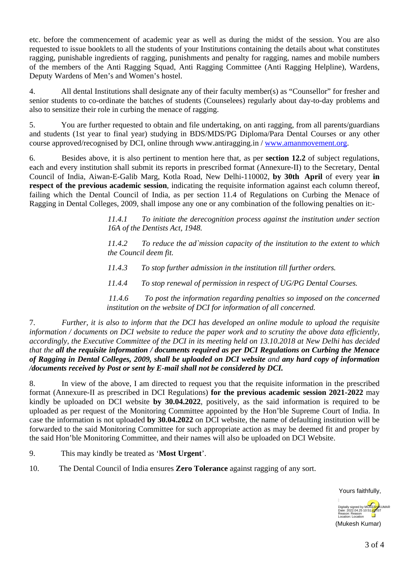etc. before the commencement of academic year as well as during the midst of the session. You are also requested to issue booklets to all the students of your Institutions containing the details about what constitutes ragging, punishable ingredients of ragging, punishments and penalty for ragging, names and mobile numbers of the members of the Anti Ragging Squad, Anti Ragging Committee (Anti Ragging Helpline), Wardens, Deputy Wardens of Men's and Women's hostel.

4. All dental Institutions shall designate any of their faculty member(s) as "Counsellor" for fresher and senior students to co-ordinate the batches of students (Counselees) regularly about day-to-day problems and also to sensitize their role in curbing the menace of ragging.

5. You are further requested to obtain and file undertaking, on anti ragging, from all parents/guardians and students (1st year to final year) studying in BDS/MDS/PG Diploma/Para Dental Courses or any other course approved/recognised by DCI, online through www.antiragging.in / [www.amanmovement.org.](http://www.amanmovement.org)

6. Besides above, it is also pertinent to mention here that, as per **section 12.2** of subject regulations, each and every institution shall submit its reports in prescribed format (Annexure-II) to the Secretary, Dental Council of India, Aiwan-E-Galib Marg, Kotla Road, New Delhi-110002, **by 30th April** of every year **in respect of the previous academic session**, indicating the requisite information against each column thereof, failing which the Dental Council of India, as per section 11.4 of Regulations on Curbing the Menace of Ragging in Dental Colleges, 2009, shall impose any one or any combination of the following penalties on it:-

> *11.4.1 To initiate the derecognition process against the institution under section 16A of the Dentists Act, 1948.*

> *11.4.2 To reduce the ad`mission capacity of the institution to the extent to which the Council deem fit.*

*11.4.3 To stop further admission in the institution till further orders.*

*11.4.4 To stop renewal of permission in respect of UG/PG Dental Courses.*

 *11.4.6 To post the information regarding penalties so imposed on the concerned institution on the website of DCI for information of all concerned.*

7. *Further, it is also to inform that the DCI has developed an online module to upload the requisite information / documents on DCI website to reduce the paper work and to scrutiny the above data efficiently, accordingly, the Executive Committee of the DCI in its meeting held on 13.10.2018 at New Delhi has decided that the all the requisite information / documents required as per DCI Regulations on Curbing the Menace of Ragging in Dental Colleges, 2009, shall be uploaded on DCI website and any hard copy of information /documents received by Post or sent by E-mail shall not be considered by DCI.*

8. In view of the above, I am directed to request you that the requisite information in the prescribed format (Annexure-II as prescribed in DCI Regulations) **for the previous academic session 2021-2022** may kindly be uploaded on DCI website **by 30.04.2022**, positively, as the said information is required to be uploaded as per request of the Monitoring Committee appointed by the Hon'ble Supreme Court of India. In case the information is not uploaded **by 30.04.2022** on DCI website, the name of defaulting institution will be forwarded to the said Monitoring Committee for such appropriate action as may be deemed fit and proper by the said Hon'ble Monitoring Committee, and their names will also be uploaded on DCI Website.

9. This may kindly be treated as '**Most Urgent**'.

10. The Dental Council of India ensures **Zero Tolerance** against ragging of any sort.

Yours faithfully,